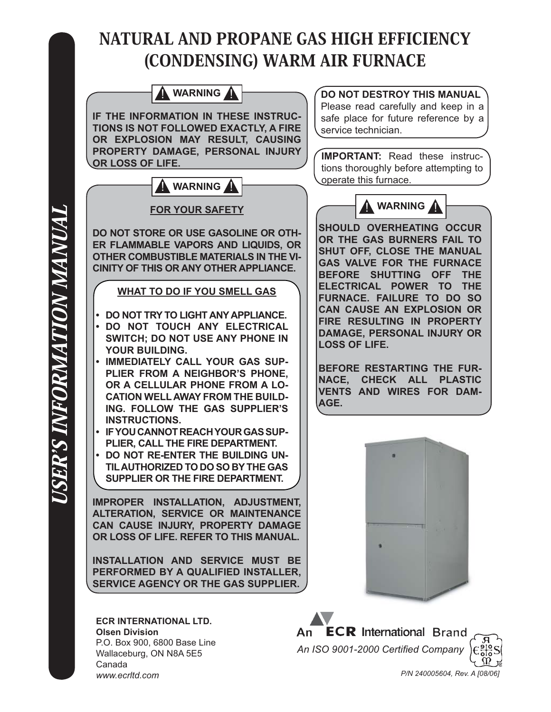# NATURAL AND PROPANE GAS HIGH EFFICIENCY (CONDENSING) WARM AIR FURNACE

**WARNING WARNING IF THE INFORMATION IN THESE INSTRUC-TIONS IS NOT FOLLOWED EXACTLY, A FIRE OR EXPLOSION MAY RESULT, CAUSING PROPERTY DAMAGE, PERSONAL INJURY OR LOSS OF LIFE. FOR YOUR SAFETY DO NOT STORE OR USE GASOLINE OR OTH-ER FLAMMABLE VAPORS AND LIQUIDS, OR OTHER COMBUSTIBLE MATERIALS IN THE VI-CINITY OF THIS OR ANY OTHER APPLIANCE. WHAT TO DO IF YOU SMELL GAS DO NOT TRY TO LIGHT ANY APPLIANCE. • DO NOT TOUCH ANY ELECTRICAL • SWITCH; DO NOT USE ANY PHONE IN YOUR BUILDING. IMMEDIATELY CALL YOUR GAS SUP-PLIER FROM A NEIGHBOR'S PHONE, OR A CELLULAR PHONE FROM A LO-CATION WELL AWAY FROM THE BUILD-ING. FOLLOW THE GAS SUPPLIER'S INSTRUCTIONS. IF YOU CANNOT REACH YOUR GAS SUP-• PLIER, CALL THE FIRE DEPARTMENT. DO NOT RE-ENTER THE BUILDING UN-• TIL AUTHORIZED TO DO SO BY THE GAS SUPPLIER OR THE FIRE DEPARTMENT. IMPROPER INSTALLATION, ADJUSTMENT, ALTERATION, SERVICE OR MAINTENANCE CAN CAUSE INJURY, PROPERTY DAMAGE OR LOSS OF LIFE. REFER TO THIS MANUAL. INSTALLATION AND SERVICE MUST BE PERFORMED BY A QUALIFIED INSTALLER, SERVICE AGENCY OR THE GAS SUPPLIER. • IMPORTANT:** Read these instrucoperate this furnace. **DO NOT DESTROY THIS MANUAL** service technician. **WARNING SHOULD OVERHEATING OCCUR OR THE GAS BURNERS FAIL TO SHUT OFF, CLOSE THE MANUAL GAS VALVE FOR THE FURNACE BEFORE SHUTTING OFF THE ELECTRICAL POWER TO THE FURNACE. FAILURE TO DO SO CAN CAUSE AN EXPLOSION OR FIRE RESULTING IN PROPERTY DAMAGE, PERSONAL INJURY OR LOSS OF LIFE. BEFORE RESTARTING THE FUR-NACE, CHECK ALL PLASTIC VENTS AND WIRES FOR DAM-AGE.**

**ECR INTERNATIONAL LTD. Olsen Division** P.O. Box 900, 6800 Base Line Wallaceburg, ON N8A 5E5 Canada *www.ecrltd.com*

Please read carefully and keep in a safe place for future reference by a

tions thoroughly before attempting to

**ECR** International Brand An An ISO 9001-2000 Certified Company  *P/N 240005604, Rev. A [08/06]*

USER'S INFORMATION MANUAL *ISER'S INFORMATION MANUAL*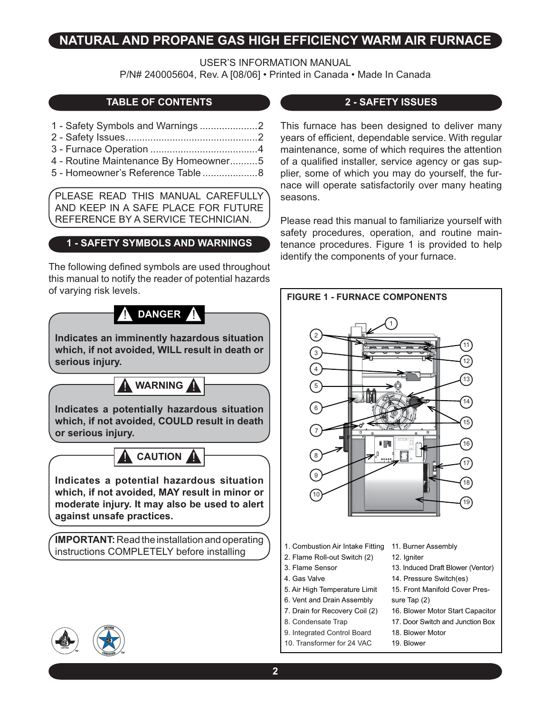### **NATURAL AND PROPANE GAS HIGH EFFICIENCY WARM AIR FURNACE**

USER'S INFORMATION MANUAL

P/N# 240005604, Rev. A [08/06] • Printed in Canada • Made In Canada

### **TABLE OF CONTENTS**

- 1 Safety Symbols and Warnings .....................2
- 2 Safety Issues ................................................2
- 3 Furnace Operation .......................................4
- 4 Routine Maintenance By Homeowner ..........5
- 5 Homeowner's Reference Table ....................8

PLEASE READ THIS MANUAL CAREFULLY AND KEEP IN A SAFE PLACE FOR FUTURE REFERENCE BY A SERVICE TECHNICIAN.

#### **1 - SAFETY SYMBOLS AND WARNINGS**

The following defined symbols are used throughout this manual to notify the reader of potential hazards of varying risk levels.

## **A** DANGER A

**Indicates an imminently hazardous situation which, if not avoided, WILL result in death or serious injury.**

**WARNING** 

**Indicates a potentially hazardous situation which, if not avoided, COULD result in death or serious injury.**

**CAUTION** 

**Indicates a potential hazardous situation which, if not avoided, MAY result in minor or moderate injury. It may also be used to alert against unsafe practices.**

**IMPORTANT:** Read the installation and operating instructions COMPLETELY before installing

#### **2 - SAFETY ISSUES**

This furnace has been designed to deliver many years of efficient, dependable service. With regular maintenance, some of which requires the attention of a qualified installer, service agency or gas supplier, some of which you may do yourself, the furnace will operate satisfactorily over many heating seasons.

Please read this manual to familiarize yourself with safety procedures, operation, and routine maintenance procedures. Figure 1 is provided to help identify the components of your furnace.



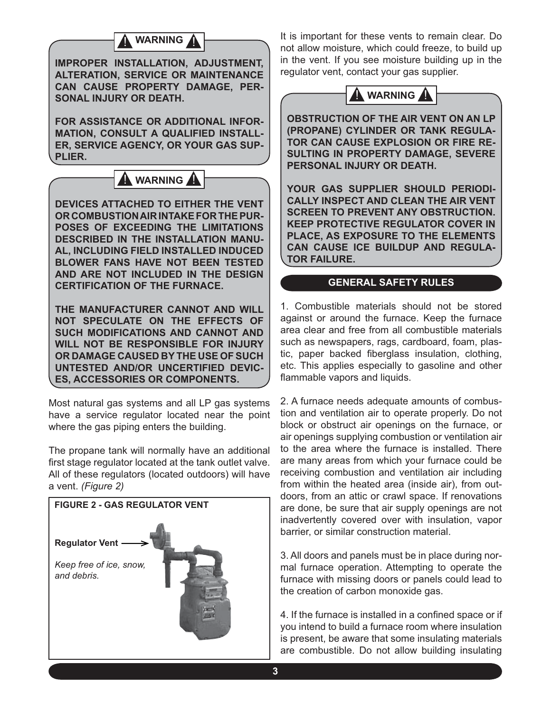### **WARNING**

**IMPROPER INSTALLATION, ADJUSTMENT, ALTERATION, SERVICE OR MAINTENANCE CAN CAUSE PROPERTY DAMAGE, PER-SONAL INJURY OR DEATH.**

**FOR ASSISTANCE OR ADDITIONAL INFOR-MATION, CONSULT A QUALIFIED INSTALL-ER, SERVICE AGENCY, OR YOUR GAS SUP-PLIER.**



**DEVICES ATTACHED TO EITHER THE VENT OR COMBUSTION AIR INTAKE FOR THE PUR-POSES OF EXCEEDING THE LIMITATIONS DESCRIBED IN THE INSTALLATION MANU-AL, INCLUDING FIELD INSTALLED INDUCED BLOWER FANS HAVE NOT BEEN TESTED AND ARE NOT INCLUDED IN THE DESIGN CERTIFICATION OF THE FURNACE.**

**THE MANUFACTURER CANNOT AND WILL NOT SPECULATE ON THE EFFECTS OF SUCH MODIFICATIONS AND CANNOT AND WILL NOT BE RESPONSIBLE FOR INJURY OR DAMAGE CAUSED BY THE USE OF SUCH UNTESTED AND/OR UNCERTIFIED DEVIC-ES, ACCESSORIES OR COMPONENTS.**

Most natural gas systems and all LP gas systems have a service regulator located near the point where the gas piping enters the building.

The propane tank will normally have an additional first stage regulator located at the tank outlet valve. All of these regulators (located outdoors) will have a vent. *(Figure 2)*



It is important for these vents to remain clear. Do not allow moisture, which could freeze, to build up in the vent. If you see moisture building up in the regulator vent, contact your gas supplier.



**OBSTRUCTION OF THE AIR VENT ON AN LP (PROPANE) CYLINDER OR TANK REGULA-TOR CAN CAUSE EXPLOSION OR FIRE RE-SULTING IN PROPERTY DAMAGE, SEVERE PERSONAL INJURY OR DEATH.**

**YOUR GAS SUPPLIER SHOULD PERIODI-CALLY INSPECT AND CLEAN THE AIR VENT SCREEN TO PREVENT ANY OBSTRUCTION. KEEP PROTECTIVE REGULATOR COVER IN PLACE, AS EXPOSURE TO THE ELEMENTS CAN CAUSE ICE BUILDUP AND REGULA-TOR FAILURE.**

#### **GENERAL SAFETY RULES**

1. Combustible materials should not be stored against or around the furnace. Keep the furnace area clear and free from all combustible materials such as newspapers, rags, cardboard, foam, plastic, paper backed fiberglass insulation, clothing, etc. This applies especially to gasoline and other flammable vapors and liquids.

2. A furnace needs adequate amounts of combustion and ventilation air to operate properly. Do not block or obstruct air openings on the furnace, or air openings supplying combustion or ventilation air to the area where the furnace is installed. There are many areas from which your furnace could be receiving combustion and ventilation air including from within the heated area (inside air), from outdoors, from an attic or crawl space. If renovations are done, be sure that air supply openings are not inadvertently covered over with insulation, vapor barrier, or similar construction material.

3. All doors and panels must be in place during normal furnace operation. Attempting to operate the furnace with missing doors or panels could lead to the creation of carbon monoxide gas.

4. If the furnace is installed in a confined space or if you intend to build a furnace room where insulation is present, be aware that some insulating materials are combustible. Do not allow building insulating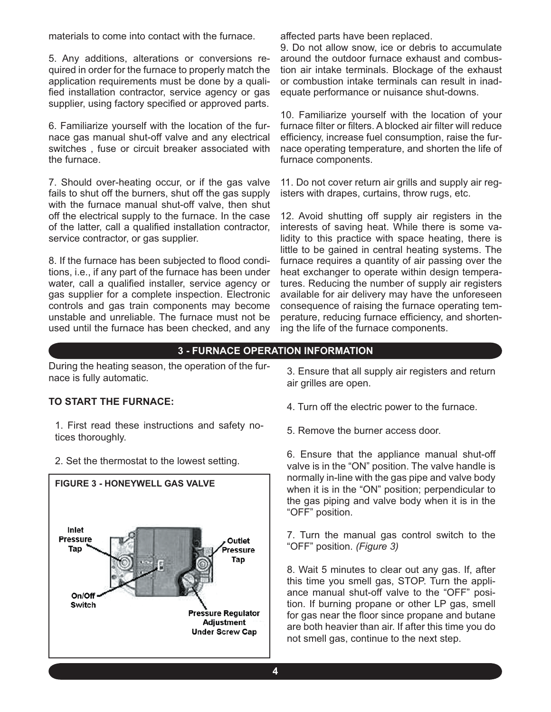materials to come into contact with the furnace.

5. Any additions, alterations or conversions required in order for the furnace to properly match the application requirements must be done by a qualified installation contractor, service agency or gas supplier, using factory specified or approved parts.

6. Familiarize yourself with the location of the furnace gas manual shut-off valve and any electrical switches , fuse or circuit breaker associated with the furnace.

7. Should over-heating occur, or if the gas valve fails to shut off the burners, shut off the gas supply with the furnace manual shut-off valve, then shut off the electrical supply to the furnace. In the case of the latter, call a qualified installation contractor, service contractor, or gas supplier.

8. If the furnace has been subjected to flood conditions, i.e., if any part of the furnace has been under water, call a qualified installer, service agency or gas supplier for a complete inspection. Electronic controls and gas train components may become unstable and unreliable. The furnace must not be used until the furnace has been checked, and any affected parts have been replaced.

9. Do not allow snow, ice or debris to accumulate around the outdoor furnace exhaust and combustion air intake terminals. Blockage of the exhaust or combustion intake terminals can result in inadequate performance or nuisance shut-downs.

10. Familiarize yourself with the location of your furnace filter or filters. A blocked air filter will reduce efficiency, increase fuel consumption, raise the furnace operating temperature, and shorten the life of furnace components.

11. Do not cover return air grills and supply air registers with drapes, curtains, throw rugs, etc.

12. Avoid shutting off supply air registers in the interests of saving heat. While there is some validity to this practice with space heating, there is little to be gained in central heating systems. The furnace requires a quantity of air passing over the heat exchanger to operate within design temperatures. Reducing the number of supply air registers available for air delivery may have the unforeseen consequence of raising the furnace operating temperature, reducing furnace efficiency, and shortening the life of the furnace components.

### **3 - FURNACE OPERATION INFORMATION**

During the heating season, the operation of the furnace is fully automatic.

#### **TO START THE FURNACE:**

1. First read these instructions and safety notices thoroughly.

2. Set the thermostat to the lowest setting.



3. Ensure that all supply air registers and return air grilles are open.

- 4. Turn off the electric power to the furnace.
- 5. Remove the burner access door.

6. Ensure that the appliance manual shut-off valve is in the "ON" position. The valve handle is normally in-line with the gas pipe and valve body when it is in the "ON" position; perpendicular to the gas piping and valve body when it is in the "OFF" position.

7. Turn the manual gas control switch to the "OFF" position. *(Figure 3)*

8. Wait 5 minutes to clear out any gas. If, after this time you smell gas, STOP. Turn the appliance manual shut-off valve to the "OFF" position. If burning propane or other LP gas, smell for gas near the floor since propane and butane are both heavier than air. If after this time you do not smell gas, continue to the next step.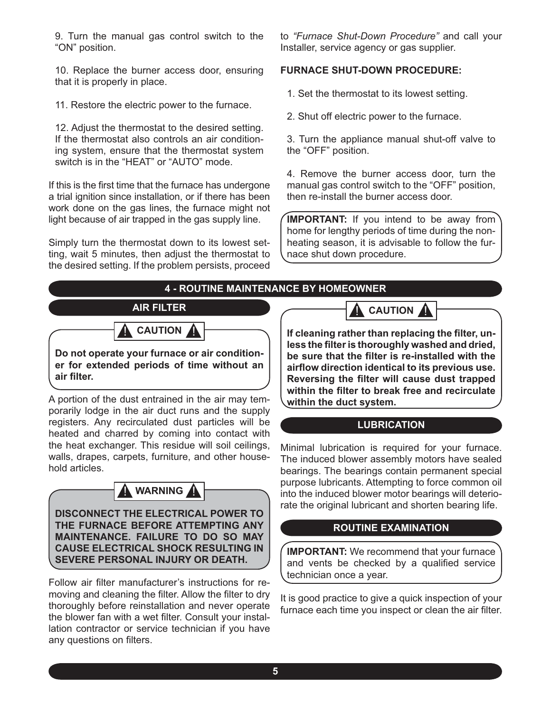9. Turn the manual gas control switch to the "ON" position.

10. Replace the burner access door, ensuring that it is properly in place.

11. Restore the electric power to the furnace.

12. Adjust the thermostat to the desired setting. If the thermostat also controls an air conditioning system, ensure that the thermostat system switch is in the "HEAT" or "AUTO" mode.

If this is the first time that the furnace has undergone a trial ignition since installation, or if there has been work done on the gas lines, the furnace might not light because of air trapped in the gas supply line.

Simply turn the thermostat down to its lowest setting, wait 5 minutes, then adjust the thermostat to the desired setting. If the problem persists, proceed to *"Furnace Shut-Down Procedure"* and call your Installer, service agency or gas supplier.

#### **FURNACE SHUT-DOWN PROCEDURE:**

1. Set the thermostat to its lowest setting.

2. Shut off electric power to the furnace.

3. Turn the appliance manual shut-off valve to the "OFF" position.

4. Remove the burner access door, turn the manual gas control switch to the "OFF" position, then re-install the burner access door.

**IMPORTANT:** If you intend to be away from home for lengthy periods of time during the nonheating season, it is advisable to follow the furnace shut down procedure.

#### **4 - ROUTINE MAINTENANCE BY HOMEOWNER**



**A** CAUTION

**Do not operate your furnace or air conditioner for extended periods of time without an air fi lter.**

A portion of the dust entrained in the air may temporarily lodge in the air duct runs and the supply registers. Any recirculated dust particles will be heated and charred by coming into contact with the heat exchanger. This residue will soil ceilings, walls, drapes, carpets, furniture, and other household articles.



**DISCONNECT THE ELECTRICAL POWER TO THE FURNACE BEFORE ATTEMPTING ANY MAINTENANCE. FAILURE TO DO SO MAY CAUSE ELECTRICAL SHOCK RESULTING IN SEVERE PERSONAL INJURY OR DEATH.**

Follow air filter manufacturer's instructions for removing and cleaning the filter. Allow the filter to dry thoroughly before reinstallation and never operate the blower fan with a wet filter. Consult your installation contractor or service technician if you have any questions on filters.

**CAUTION** 

If cleaning rather than replacing the filter, unless the filter is thoroughly washed and dried, be sure that the filter is re-installed with the **airfl ow direction identical to its previous use. Reversing the filter will cause dust trapped** within the filter to break free and recirculate **within the duct system.**

#### **LUBRICATION**

Minimal lubrication is required for your furnace. The induced blower assembly motors have sealed bearings. The bearings contain permanent special purpose lubricants. Attempting to force common oil into the induced blower motor bearings will deteriorate the original lubricant and shorten bearing life.

#### **ROUTINE EXAMINATION**

**IMPORTANT:** We recommend that your furnace and vents be checked by a qualified service technician once a year.

It is good practice to give a quick inspection of your furnace each time you inspect or clean the air filter.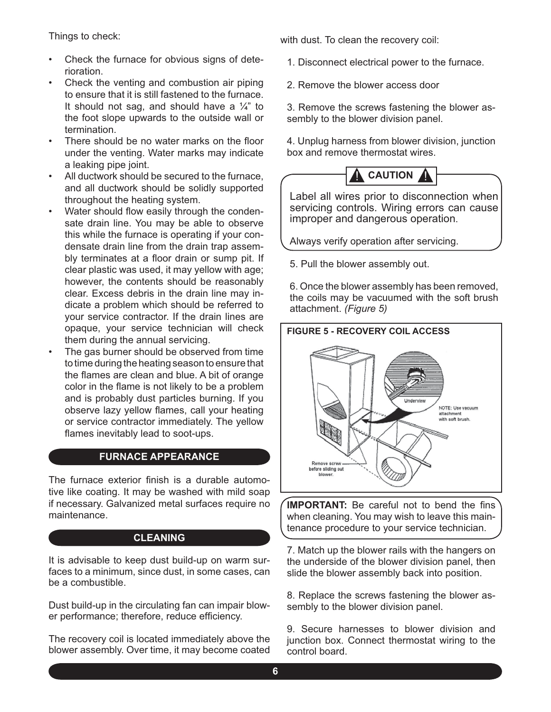Things to check:

- Check the furnace for obvious signs of deterioration. •
- Check the venting and combustion air piping to ensure that it is still fastened to the furnace. It should not sag, and should have a  $\frac{1}{4}$  to the foot slope upwards to the outside wall or termination. •
- There should be no water marks on the floor under the venting. Water marks may indicate a leaking pipe joint. •
- All ductwork should be secured to the furnace, and all ductwork should be solidly supported throughout the heating system. •
- Water should flow easily through the condensate drain line. You may be able to observe this while the furnace is operating if your condensate drain line from the drain trap assembly terminates at a floor drain or sump pit. If clear plastic was used, it may yellow with age; however, the contents should be reasonably clear. Excess debris in the drain line may indicate a problem which should be referred to your service contractor. If the drain lines are opaque, your service technician will check them during the annual servicing. •
- The gas burner should be observed from time to time during the heating season to ensure that the flames are clean and blue. A bit of orange color in the flame is not likely to be a problem and is probably dust particles burning. If you observe lazy yellow flames, call your heating or service contractor immediately. The yellow flames inevitably lead to soot-ups. •

#### **FURNACE APPEARANCE**

The furnace exterior finish is a durable automotive like coating. It may be washed with mild soap if necessary. Galvanized metal surfaces require no maintenance.

#### **CLEANING**

It is advisable to keep dust build-up on warm surfaces to a minimum, since dust, in some cases, can be a combustible.

Dust build-up in the circulating fan can impair blower performance; therefore, reduce efficiency.

The recovery coil is located immediately above the blower assembly. Over time, it may become coated with dust. To clean the recovery coil:

- 1. Disconnect electrical power to the furnace.
- 2. Remove the blower access door

3. Remove the screws fastening the blower assembly to the blower division panel.

4. Unplug harness from blower division, junction box and remove thermostat wires.



Label all wires prior to disconnection when servicing controls. Wiring errors can cause improper and dangerous operation.

Always verify operation after servicing.

5. Pull the blower assembly out.

6. Once the blower assembly has been removed, the coils may be vacuumed with the soft brush attachment. *(Figure 5)*



**IMPORTANT:** Be careful not to bend the fins when cleaning. You may wish to leave this maintenance procedure to your service technician.

7. Match up the blower rails with the hangers on the underside of the blower division panel, then slide the blower assembly back into position.

8. Replace the screws fastening the blower assembly to the blower division panel.

9. Secure harnesses to blower division and junction box. Connect thermostat wiring to the control board.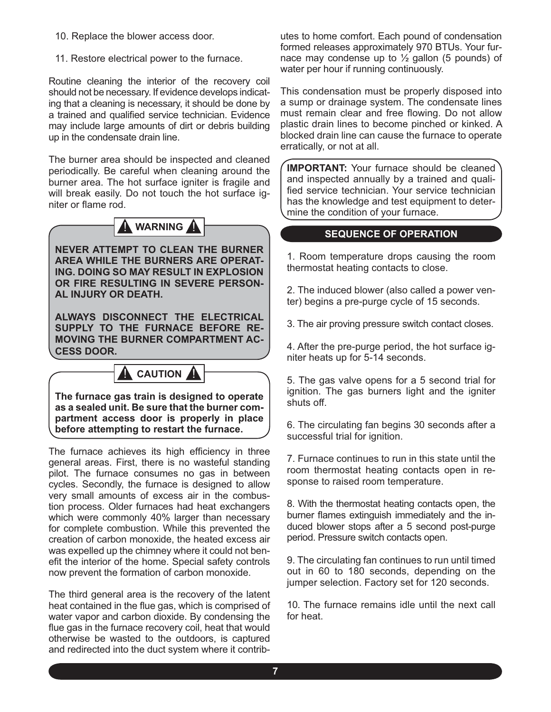- 10. Replace the blower access door.
- 11. Restore electrical power to the furnace.

Routine cleaning the interior of the recovery coil should not be necessary. If evidence develops indicating that a cleaning is necessary, it should be done by a trained and qualified service technician. Evidence may include large amounts of dirt or debris building up in the condensate drain line.

The burner area should be inspected and cleaned periodically. Be careful when cleaning around the burner area. The hot surface igniter is fragile and will break easily. Do not touch the hot surface igniter or flame rod.



**NEVER ATTEMPT TO CLEAN THE BURNER AREA WHILE THE BURNERS ARE OPERAT-ING. DOING SO MAY RESULT IN EXPLOSION OR FIRE RESULTING IN SEVERE PERSON-AL INJURY OR DEATH.**

**ALWAYS DISCONNECT THE ELECTRICAL SUPPLY TO THE FURNACE BEFORE RE-MOVING THE BURNER COMPARTMENT AC-CESS DOOR.**

### **CAUTION**

**The furnace gas train is designed to operate as a sealed unit. Be sure that the burner compartment access door is properly in place before attempting to restart the furnace.**

The furnace achieves its high efficiency in three general areas. First, there is no wasteful standing pilot. The furnace consumes no gas in between cycles. Secondly, the furnace is designed to allow very small amounts of excess air in the combustion process. Older furnaces had heat exchangers which were commonly 40% larger than necessary for complete combustion. While this prevented the creation of carbon monoxide, the heated excess air was expelled up the chimney where it could not benefit the interior of the home. Special safety controls now prevent the formation of carbon monoxide.

The third general area is the recovery of the latent heat contained in the flue gas, which is comprised of water vapor and carbon dioxide. By condensing the flue gas in the furnace recovery coil, heat that would otherwise be wasted to the outdoors, is captured and redirected into the duct system where it contributes to home comfort. Each pound of condensation formed releases approximately 970 BTUs. Your furnace may condense up to  $\frac{1}{2}$  gallon (5 pounds) of water per hour if running continuously.

This condensation must be properly disposed into a sump or drainage system. The condensate lines must remain clear and free flowing. Do not allow plastic drain lines to become pinched or kinked. A blocked drain line can cause the furnace to operate erratically, or not at all.

**IMPORTANT:** Your furnace should be cleaned and inspected annually by a trained and qualified service technician. Your service technician has the knowledge and test equipment to determine the condition of your furnace.

#### **SEQUENCE OF OPERATION**

1. Room temperature drops causing the room thermostat heating contacts to close.

2. The induced blower (also called a power venter) begins a pre-purge cycle of 15 seconds.

3. The air proving pressure switch contact closes.

4. After the pre-purge period, the hot surface igniter heats up for 5-14 seconds.

5. The gas valve opens for a 5 second trial for ignition. The gas burners light and the igniter shuts off.

6. The circulating fan begins 30 seconds after a successful trial for ignition.

7. Furnace continues to run in this state until the room thermostat heating contacts open in response to raised room temperature.

8. With the thermostat heating contacts open, the burner flames extinguish immediately and the induced blower stops after a 5 second post-purge period. Pressure switch contacts open.

9. The circulating fan continues to run until timed out in 60 to 180 seconds, depending on the jumper selection. Factory set for 120 seconds.

10. The furnace remains idle until the next call for heat.